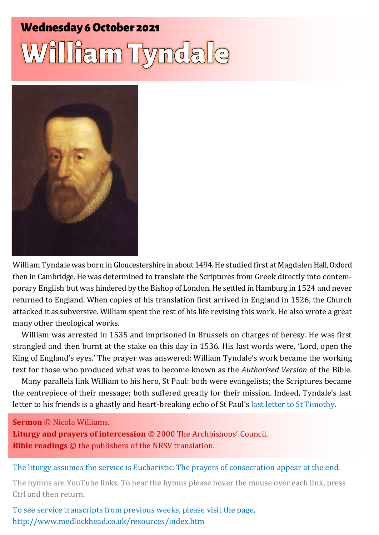# **Wednesday 6 October 2021** William Tyndale



William Tyndale was born in Gloucestershire in about 1494.He studied first at Magdalen Hall, Oxford then in Cambridge. He was determined to translate the Scriptures from Greek directly into contemporary English but was hindered by the Bishop of London. He settled in Hamburg in 1524 and never returned to England. When copies of his translation first arrived in England in 1526, the Church attacked it as subversive. William spent the rest of his life revising this work. He also wrote a great many other theological works.

William was arrested in 1535 and imprisoned in Brussels on charges of heresy. He was first strangled and then burnt at the stake on this day in 1536. His last words were, 'Lord, open the King of England's eyes.' The prayer was answered: William Tyndale's work became the working text for those who produced what was to become known as the *Authorised Version* of the Bible.

Many parallels link William to his hero, St Paul: both were evangelists; the Scriptures became the centrepiece of their message; both suffered greatly for their mission. Indeed, Tyndale's last letter to his friends is a ghastly and heart-breaking echo of St Paul's [last letter to St Timothy.](https://www.biblegateway.com/passage/?search=2+Timothy+4%3A9-12&version=NIVUK)

**Sermon** © Nicola Williams.

**Liturgy and prayers of intercession** © 2000 The Archbishops' Council. **Bible readings** © the publishers of the NRSV translation.

The liturgy assumes the service is Eucharistic. The prayers of consecration appear at the end.

The hymns are YouTube links. To hear the hymns please hover the mouse over each link, press Ctrl and then return.

To see service transcripts from previous weeks, please visit the page, <http://www.medlockhead.co.uk/resources/index.htm>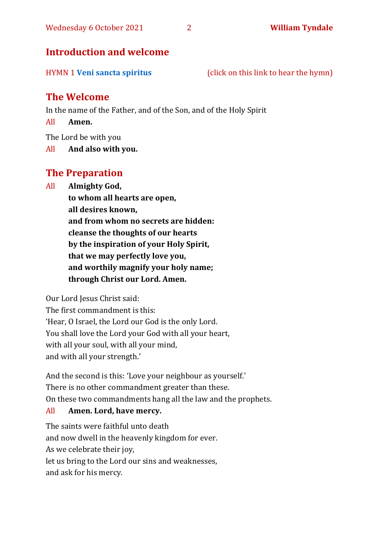#### **Introduction and welcome**

HYMN 1 **[Veni sancta spiritus](https://www.youtube.com/watch?v=WmxXwAgkhW)** (click on this link to hear the hymn)

#### **The Welcome**

In the name of the Father, and of the Son, and of the Holy Spirit

All **Amen.**

The Lord be with you

All **And also with you.**

#### **The Preparation**

All **Almighty God,**

**to whom all hearts are open, all desires known, and from whom no secrets are hidden: cleanse the thoughts of our hearts by the inspiration of your Holy Spirit, that we may perfectly love you, and worthily magnify your holy name; through Christ our Lord. Amen.**

Our Lord Jesus Christ said:

The first commandment is this: 'Hear, O Israel, the Lord our God is the only Lord. You shall love the Lord your God with all your heart, with all your soul, with all your mind, and with all your strength.'

And the second is this: 'Love your neighbour as yourself.' There is no other commandment greater than these. On these two commandments hang all the law and the prophets.

#### All **Amen. Lord, have mercy.**

The saints were faithful unto death and now dwell in the heavenly kingdom for ever. As we celebrate their joy, let us bring to the Lord our sins and weaknesses, and ask for his mercy.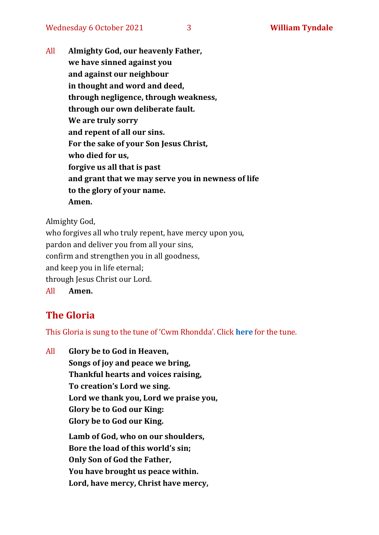All **Almighty God, our heavenly Father, we have sinned against you and against our neighbour in thought and word and deed, through negligence, through weakness, through our own deliberate fault. We are truly sorry and repent of all our sins. For the sake of your Son Jesus Christ, who died for us, forgive us all that is past and grant that we may serve you in newness of life to the glory of your name. Amen.**

Almighty God,

who forgives all who truly repent, have mercy upon you, pardon and deliver you from all your sins, confirm and strengthen you in all goodness, and keep you in life eternal; through Jesus Christ our Lord. All **Amen.**

### **The Gloria**

This Gloria is sung to the tune of 'Cwm Rhondda'. Click **[here](https://www.youtube.com/watch?v=l71MLQ22dIk)** for the tune.

All **Glory be to God in Heaven, Songs of joy and peace we bring, Thankful hearts and voices raising, To creation's Lord we sing. Lord we thank you, Lord we praise you, Glory be to God our King: Glory be to God our King. Lamb of God, who on our shoulders, Bore the load of this world's sin; Only Son of God the Father, You have brought us peace within. Lord, have mercy, Christ have mercy,**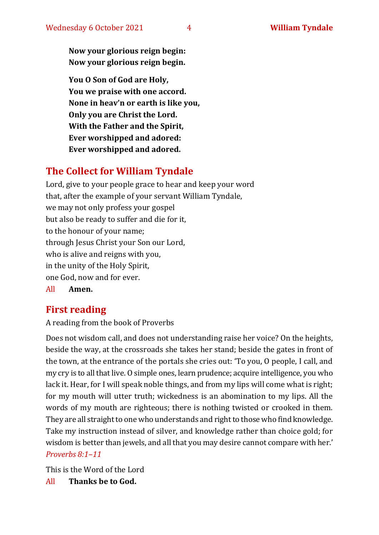**Now your glorious reign begin: Now your glorious reign begin.**

**You O Son of God are Holy, You we praise with one accord. None in heav'n or earth is like you, Only you are Christ the Lord. With the Father and the Spirit, Ever worshipped and adored: Ever worshipped and adored.**

### **The Collect for William Tyndale**

Lord, give to your people grace to hear and keep your word that, after the example of your servant William Tyndale, we may not only profess your gospel but also be ready to suffer and die for it, to the honour of your name; through Jesus Christ your Son our Lord, who is alive and reigns with you, in the unity of the Holy Spirit, one God, now and for ever. All **Amen.**

### **First reading**

A reading from the book of Proverbs

Does not wisdom call, and does not understanding raise her voice? On the heights, beside the way, at the crossroads she takes her stand; beside the gates in front of the town, at the entrance of the portals she cries out: 'To you, O people, I call, and my cry is to all that live. O simple ones, learn prudence; acquire intelligence, you who lack it. Hear, for I will speak noble things, and from my lips will come what is right; for my mouth will utter truth; wickedness is an abomination to my lips. All the words of my mouth are righteous; there is nothing twisted or crooked in them. They are all straight to one who understands and right to those who find knowledge. Take my instruction instead of silver, and knowledge rather than choice gold; for wisdom is better than jewels, and all that you may desire cannot compare with her.' *Proverbs 8:1–11*

This is the Word of the Lord

All **Thanks be to God.**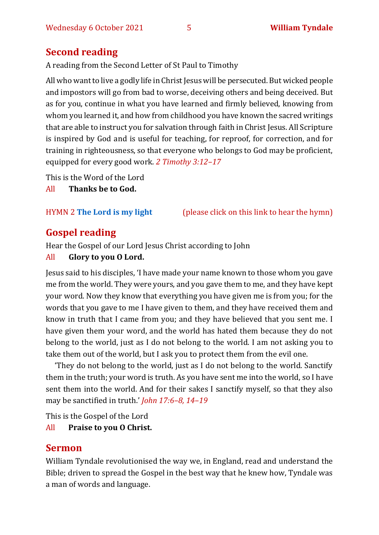### **Second reading**

A reading from the Second Letter of St Paul to Timothy

All who want to live a godly life in Christ Jesus will be persecuted. But wicked people and impostors will go from bad to worse, deceiving others and being deceived. But as for you, continue in what you have learned and firmly believed, knowing from whom you learned it, and how from childhood you have known the sacred writings that are able to instruct you for salvation through faith in Christ Jesus. All Scripture is inspired by God and is useful for teaching, for reproof, for correction, and for training in righteousness, so that everyone who belongs to God may be proficient, equipped for every good work. *2 Timothy 3:12–17*

This is the Word of the Lord

All **Thanks be to God.**

HYMN 2 **[The Lord is my light](https://www.youtube.com/watch?v=r64gcGMNhDE)** (please click on this link to hear the hymn)

### **Gospel reading**

Hear the Gospel of our Lord Jesus Christ according to John

#### All **Glory to you O Lord.**

Jesus said to his disciples, 'I have made your name known to those whom you gave me from the world. They were yours, and you gave them to me, and they have kept your word. Now they know that everything you have given me is from you; for the words that you gave to me I have given to them, and they have received them and know in truth that I came from you; and they have believed that you sent me. I have given them your word, and the world has hated them because they do not belong to the world, just as I do not belong to the world. I am not asking you to take them out of the world, but I ask you to protect them from the evil one.

'They do not belong to the world, just as I do not belong to the world. Sanctify them in the truth; your word is truth. As you have sent me into the world, so I have sent them into the world. And for their sakes I sanctify myself, so that they also may be sanctified in truth.' *John 17:6–8, 14–19*

This is the Gospel of the Lord

#### All **Praise to you O Christ.**

#### **Sermon**

William Tyndale revolutionised the way we, in England, read and understand the Bible; driven to spread the Gospel in the best way that he knew how, Tyndale was a man of words and language.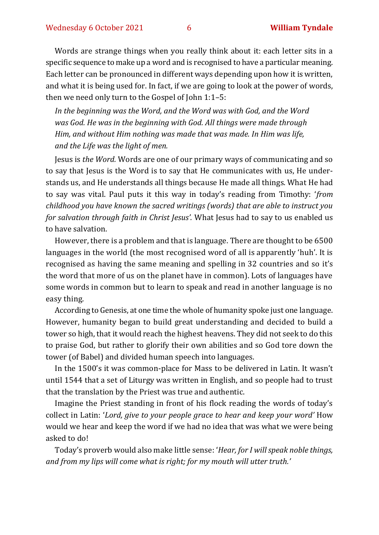Words are strange things when you really think about it: each letter sits in a specific sequence to make up a word and is recognised to have a particular meaning. Each letter can be pronounced in different ways depending upon how it is written, and what it is being used for. In fact, if we are going to look at the power of words, then we need only turn to the Gospel of John 1:1–5:

*In the beginning was the Word, and the Word was with God, and the Word was God. He was in the beginning with God. All things were made through Him, and without Him nothing was made that was made. In Him was life, and the Life was the light of men.*

Jesus is *the Word.* Words are one of our primary ways of communicating and so to say that Jesus is the Word is to say that He communicates with us, He understands us, and He understands all things because He made all things. What He had to say was vital. Paul puts it this way in today's reading from Timothy: '*from childhood you have known the sacred writings (words) that are able to instruct you for salvation through faith in Christ Jesus'.* What Jesus had to say to us enabled us to have salvation.

However, there is a problem and that is language. There are thought to be 6500 languages in the world (the most recognised word of all is apparently 'huh'. It is recognised as having the same meaning and spelling in 32 countries and so it's the word that more of us on the planet have in common). Lots of languages have some words in common but to learn to speak and read in another language is no easy thing.

According to Genesis, at one time the whole of humanity spoke just one language. However, humanity began to build great understanding and decided to build a tower so high, that it would reach the highest heavens. They did not seek to do this to praise God, but rather to glorify their own abilities and so God tore down the tower (of Babel) and divided human speech into languages.

In the 1500's it was common-place for Mass to be delivered in Latin. It wasn't until 1544 that a set of Liturgy was written in English, and so people had to trust that the translation by the Priest was true and authentic.

Imagine the Priest standing in front of his flock reading the words of today's collect in Latin: '*Lord, give to your people grace to hear and keep your word'* How would we hear and keep the word if we had no idea that was what we were being asked to do!

Today's proverb would also make little sense: '*Hear, for I will speak noble things, and from my lips will come what is right; for my mouth will utter truth.'*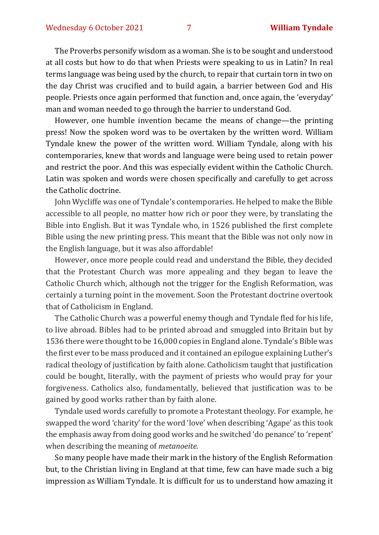The Proverbs personify wisdom as a woman. She is to be sought and understood at all costs but how to do that when Priests were speaking to us in Latin? In real terms language was being used by the church, to repair that curtain torn in two on the day Christ was crucified and to build again, a barrier between God and His people. Priests once again performed that function and, once again, the 'everyday' man and woman needed to go through the barrier to understand God.

However, one humble invention became the means of change—the printing press! Now the spoken word was to be overtaken by the written word. William Tyndale knew the power of the written word. William Tyndale, along with his contemporaries, knew that words and language were being used to retain power and restrict the poor. And this was especially evident within the Catholic Church. Latin was spoken and words were chosen specifically and carefully to get across the Catholic doctrine.

John Wycliffe was one of Tyndale's contemporaries. He helped to make the Bible accessible to all people, no matter how rich or poor they were, by translating the Bible into English. But it was Tyndale who, in 1526 published the first complete Bible using the new printing press. This meant that the Bible was not only now in the English language, but it was also affordable!

However, once more people could read and understand the Bible, they decided that the Protestant Church was more appealing and they began to leave the Catholic Church which, although not the trigger for the English Reformation, was certainly a turning point in the movement. Soon the Protestant doctrine overtook that of Catholicism in England.

The Catholic Church was a powerful enemy though and Tyndale fled for his life, to live abroad. Bibles had to be printed abroad and smuggled into Britain but by 1536 there were thought to be 16,000 copies in England alone. Tyndale's Bible was the first ever to be mass produced and it contained an epilogue explaining Luther's radical theology of justification by faith alone. Catholicism taught that justification could be bought, literally, with the payment of priests who would pray for your forgiveness. Catholics also, fundamentally, believed that justification was to be gained by good works rather than by faith alone.

Tyndale used words carefully to promote a Protestant theology. For example, he swapped the word 'charity' for the word 'love' when describing 'Agape' as this took the emphasis away from doing good works and he switched 'do penance' to 'repent' when describing the meaning of *metanoeite*.

So many people have made their mark in the history of the English Reformation but, to the Christian living in England at that time, few can have made such a big impression as William Tyndale. It is difficult for us to understand how amazing it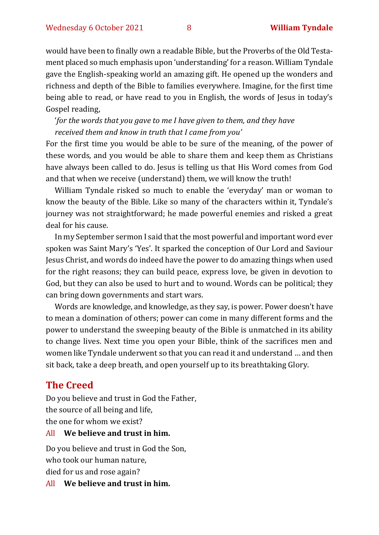would have been to finally own a readable Bible, but the Proverbs of the Old Testament placed so much emphasis upon 'understanding' for a reason. William Tyndale gave the English-speaking world an amazing gift. He opened up the wonders and richness and depth of the Bible to families everywhere. Imagine, for the first time being able to read, or have read to you in English, the words of Jesus in today's Gospel reading,

'*for the words that you gave to me I have given to them, and they have received them and know in truth that I came from you'*

For the first time you would be able to be sure of the meaning, of the power of these words, and you would be able to share them and keep them as Christians have always been called to do. Jesus is telling us that His Word comes from God and that when we receive (understand) them, we will know the truth!

William Tyndale risked so much to enable the 'everyday' man or woman to know the beauty of the Bible. Like so many of the characters within it, Tyndale's journey was not straightforward; he made powerful enemies and risked a great deal for his cause.

In my September sermon I said that the most powerful and important word ever spoken was Saint Mary's 'Yes'. It sparked the conception of Our Lord and Saviour Jesus Christ, and words do indeed have the power to do amazing things when used for the right reasons; they can build peace, express love, be given in devotion to God, but they can also be used to hurt and to wound. Words can be political; they can bring down governments and start wars.

Words are knowledge, and knowledge, as they say, is power. Power doesn't have to mean a domination of others; power can come in many different forms and the power to understand the sweeping beauty of the Bible is unmatched in its ability to change lives. Next time you open your Bible, think of the sacrifices men and women like Tyndale underwent so that you can read it and understand … and then sit back, take a deep breath, and open yourself up to its breathtaking Glory.

### **The Creed**

Do you believe and trust in God the Father, the source of all being and life, the one for whom we exist?

#### All **We believe and trust in him.**

Do you believe and trust in God the Son, who took our human nature, died for us and rose again?

All **We believe and trust in him.**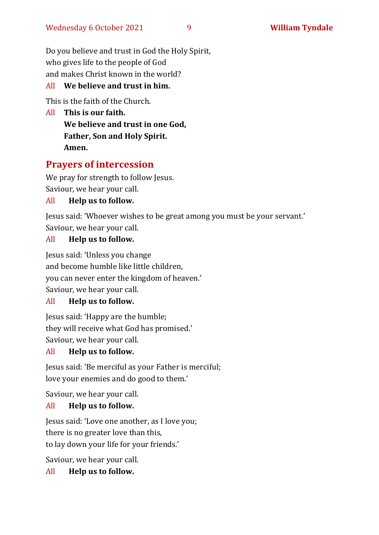Do you believe and trust in God the Holy Spirit, who gives life to the people of God and makes Christ known in the world?

#### All **We believe and trust in him.**

This is the faith of the Church.

All **This is our faith. We believe and trust in one God, Father, Son and Holy Spirit. Amen.**

#### **Prayers of intercession**

We pray for strength to follow Jesus. Saviour, we hear your call.

#### All **Help us to follow.**

Jesus said: 'Whoever wishes to be great among you must be your servant.' Saviour, we hear your call.

#### All **Help us to follow.**

Jesus said: 'Unless you change and become humble like little children, you can never enter the kingdom of heaven.' Saviour, we hear your call.

#### All **Help us to follow.**

Jesus said: 'Happy are the humble; they will receive what God has promised.' Saviour, we hear your call.

#### All **Help us to follow.**

Jesus said: 'Be merciful as your Father is merciful; love your enemies and do good to them.'

Saviour, we hear your call.

#### All **Help us to follow.**

Jesus said: 'Love one another, as I love you; there is no greater love than this, to lay down your life for your friends.'

Saviour, we hear your call.

All **Help us to follow.**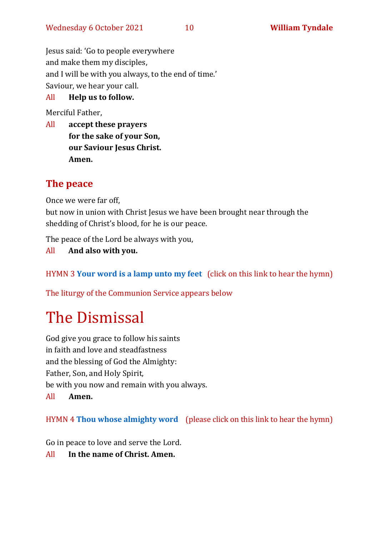Jesus said: 'Go to people everywhere and make them my disciples, and I will be with you always, to the end of time.' Saviour, we hear your call.

#### All **Help us to follow.**

Merciful Father,

All **accept these prayers for the sake of your Son, our Saviour Jesus Christ. Amen.**

#### **The peace**

Once we were far off,

but now in union with Christ Jesus we have been brought near through the shedding of Christ's blood, for he is our peace.

The peace of the Lord be always with you,

All **And also with you.**

HYMN 3 **[Your word is a lamp unto my feet](https://www.youtube.com/watch?v=npWJZwgmKMo)** (click on this link to hear the hymn)

The liturgy of the Communion Service appears below

## The Dismissal

God give you grace to follow his saints in faith and love and steadfastness and the blessing of God the Almighty: Father, Son, and Holy Spirit, be with you now and remain with you always. All **Amen.**

HYMN 4 **[Thou whose almighty word](https://www.youtube.com/watch?v=YNfR3r1WuEY)** (please click on this link to hear the hymn)

Go in peace to love and serve the Lord.

All **In the name of Christ. Amen.**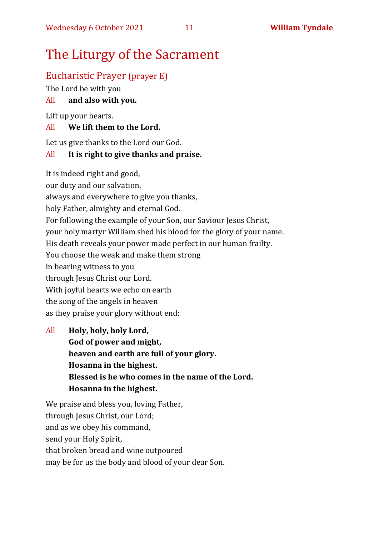## The Liturgy of the Sacrament

#### Eucharistic Prayer (prayer E)

The Lord be with you

#### All **and also with you.**

Lift up your hearts.

#### All **We lift them to the Lord.**

Let us give thanks to the Lord our God.

#### All **It is right to give thanks and praise.**

It is indeed right and good, our duty and our salvation, always and everywhere to give you thanks, holy Father, almighty and eternal God. For following the example of your Son, our Saviour Jesus Christ, your holy martyr William shed his blood for the glory of your name. His death reveals your power made perfect in our human frailty. You choose the weak and make them strong in bearing witness to you through Jesus Christ our Lord. With joyful hearts we echo on earth the song of the angels in heaven as they praise your glory without end:

All **Holy, holy, holy Lord, God of power and might, heaven and earth are full of your glory. Hosanna in the highest. Blessed is he who comes in the name of the Lord. Hosanna in the highest.**

We praise and bless you, loving Father, through Jesus Christ, our Lord; and as we obey his command, send your Holy Spirit, that broken bread and wine outpoured may be for us the body and blood of your dear Son.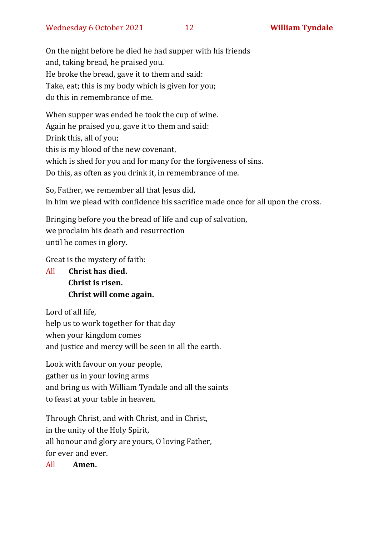On the night before he died he had supper with his friends and, taking bread, he praised you. He broke the bread, gave it to them and said: Take, eat; this is my body which is given for you; do this in remembrance of me.

When supper was ended he took the cup of wine. Again he praised you, gave it to them and said: Drink this, all of you; this is my blood of the new covenant, which is shed for you and for many for the forgiveness of sins. Do this, as often as you drink it, in remembrance of me.

So, Father, we remember all that Jesus did, in him we plead with confidence his sacrifice made once for all upon the cross.

Bringing before you the bread of life and cup of salvation, we proclaim his death and resurrection until he comes in glory.

Great is the mystery of faith:

All **Christ has died. Christ is risen. Christ will come again.**

Lord of all life, help us to work together for that day when your kingdom comes and justice and mercy will be seen in all the earth.

Look with favour on your people, gather us in your loving arms and bring us with William Tyndale and all the saints to feast at your table in heaven.

Through Christ, and with Christ, and in Christ, in the unity of the Holy Spirit, all honour and glory are yours, O loving Father, for ever and ever.

All **Amen.**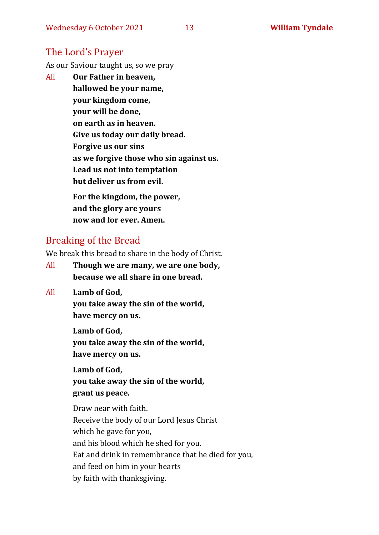### The Lord's Prayer

As our Saviour taught us, so we pray

All **Our Father in heaven, hallowed be your name, your kingdom come, your will be done, on earth as in heaven. Give us today our daily bread. Forgive us our sins as we forgive those who sin against us. Lead us not into temptation but deliver us from evil. For the kingdom, the power,** 

**and the glory are yours now and for ever. Amen.**

#### Breaking of the Bread

We break this bread to share in the body of Christ.

- All **Though we are many, we are one body, because we all share in one bread.**
- All **Lamb of God,**

**you take away the sin of the world, have mercy on us.**

**Lamb of God, you take away the sin of the world, have mercy on us.**

**Lamb of God, you take away the sin of the world, grant us peace.**

Draw near with faith. Receive the body of our Lord Jesus Christ which he gave for you, and his blood which he shed for you. Eat and drink in remembrance that he died for you, and feed on him in your hearts by faith with thanksgiving.